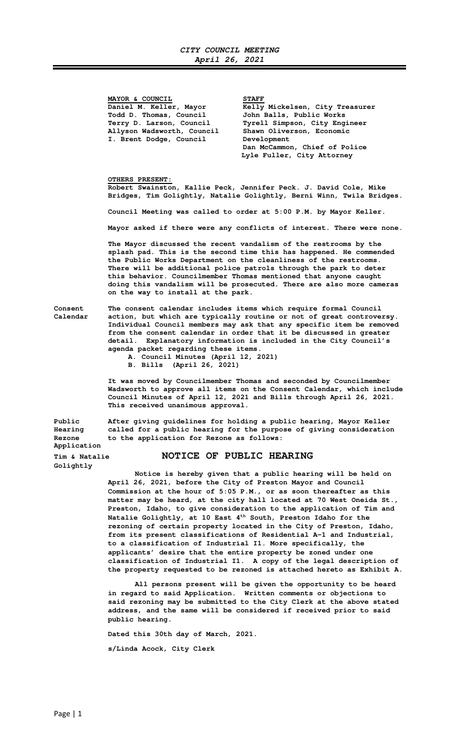## **CITY COUNCIL MEETING April 26, 2021**

**MAYOR & COUNCIL STAFF Todd D. Thomas, Council John Balls, Public Works Allyson Wadsworth, Council Shawn Oliverson, Economic I. Brent Dodge, Council Development** 

Daniel M. Keller, Mayor **Kelly Mickelsen, City Treasurer Terry D. Larson, Council Tyrell Simpson, City Engineer Dan McCammon, Chief of Police Lyle Fuller, City Attorney** 

 **OTHERS PRESENT:** 

**Robert Swainston, Kallie Peck, Jennifer Peck. J. David Cole, Mike Bridges, Tim Golightly, Natalie Golightly, Berni Winn, Twila Bridges.** 

**Council Meeting was called to order at 5:00 P.M. by Mayor Keller.** 

**Mayor asked if there were any conflicts of interest. There were none.** 

**The Mayor discussed the recent vandalism of the restrooms by the splash pad. This is the second time this has happened. He commended the Public Works Department on the cleanliness of the restrooms. There will be additional police patrols through the park to deter this behavior. Councilmember Thomas mentioned that anyone caught doing this vandalism will be prosecuted. There are also more cameras on the way to install at the park.** 

**Golightly** 

**Consent The consent calendar includes items which require formal Council Calendar action, but which are typically routine or not of great controversy. Individual Council members may ask that any specific item be removed from the consent calendar in order that it be discussed in greater detail. Explanatory information is included in the City Council's agenda packet regarding these items.** 

**A. Council Minutes (April 12, 2021)** 

**B. Bills (April 26, 2021)** 

 **It was moved by Councilmember Thomas and seconded by Councilmember Wadsworth to approve all items on the Consent Calendar, which include Council Minutes of April 12, 2021 and Bills through April 26, 2021. This received unanimous approval.** 

**Public After giving guidelines for holding a public hearing, Mayor Keller Hearing called for a public hearing for the purpose of giving consideration Rezone to the application for Rezone as follows: Application** 

**Tim & Natalie NOTICE OF PUBLIC HEARING**

 **Notice is hereby given that a public hearing will be held on April 26, 2021, before the City of Preston Mayor and Council Commission at the hour of 5:05 P.M., or as soon thereafter as this matter may be heard, at the city hall located at 70 West Oneida St., Preston, Idaho, to give consideration to the application of Tim and Natalie Golightly, at 10 East 4th South, Preston Idaho for the rezoning of certain property located in the City of Preston, Idaho, from its present classifications of Residential A-1 and Industrial, to a classification of Industrial I1. More specifically, the applicants' desire that the entire property be zoned under one classification of Industrial I1. A copy of the legal description of the property requested to be rezoned is attached hereto as Exhibit A.** 

 **All persons present will be given the opportunity to be heard in regard to said Application. Written comments or objections to said rezoning may be submitted to the City Clerk at the above stated address, and the same will be considered if received prior to said public hearing.** 

 **Dated this 30th day of March, 2021.** 

 **s/Linda Acock, City Clerk**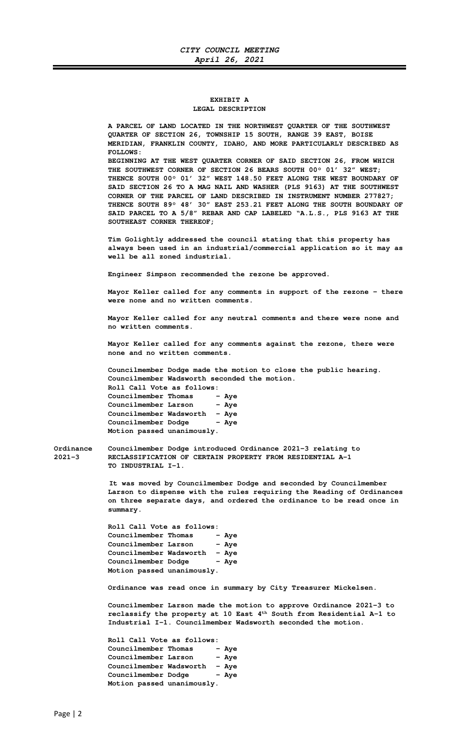## **EXHIBIT A LEGAL DESCRIPTION**

 **A PARCEL OF LAND LOCATED IN THE NORTHWEST QUARTER OF THE SOUTHWEST QUARTER OF SECTION 26, TOWNSHIP 15 SOUTH, RANGE 39 EAST, BOISE MERIDIAN, FRANKLIN COUNTY, IDAHO, AND MORE PARTICULARLY DESCRIBED AS FOLLOWS: BEGINNING AT THE WEST QUARTER CORNER OF SAID SECTION 26, FROM WHICH THE SOUTHWEST CORNER OF SECTION 26 BEARS SOUTH 00° 01' 32" WEST; THENCE SOUTH 00° 01' 32" WEST 148.50 FEET ALONG THE WEST BOUNDARY OF SAID SECTION 26 TO A MAG NAIL AND WASHER (PLS 9163) AT THE SOUTHWEST CORNER OF THE PARCEL OF LAND DESCRIBED IN INSTRUMENT NUMBER 277827; THENCE SOUTH 89° 48' 30" EAST 253.21 FEET ALONG THE SOUTH BOUNDARY OF SAID PARCEL TO A 5/8" REBAR AND CAP LABELED "A.L.S., PLS 9163 AT THE SOUTHEAST CORNER THEREOF;** 

**Tim Golightly addressed the council stating that this property has always been used in an industrial/commercial application so it may as well be all zoned industrial.** 

 **Engineer Simpson recommended the rezone be approved.** 

**Mayor Keller called for any comments in support of the rezone – there were none and no written comments.** 

**Mayor Keller called for any neutral comments and there were none and no written comments.** 

**Mayor Keller called for any comments against the rezone, there were none and no written comments.** 

**Councilmember Dodge made the motion to close the public hearing. Councilmember Wadsworth seconded the motion. Roll Call Vote as follows: Councilmember Thomas - Aye Councilmember Larson - Aye Councilmember Wadsworth – Aye**  Councilmember Dodge - Aye  **Motion passed unanimously.** 

**Ordinance Councilmember Dodge introduced Ordinance 2021-3 relating to 2021-3 RECLASSIFICATION OF CERTAIN PROPERTY FROM RESIDENTIAL A-1 TO INDUSTRIAL I-1.** 

> **It was moved by Councilmember Dodge and seconded by Councilmember Larson to dispense with the rules requiring the Reading of Ordinances on three separate days, and ordered the ordinance to be read once in summary.**

 **Roll Call Vote as follows: Councilmember Thomas - Aye Councilmember Larson - Aye Councilmember Wadsworth – Aye Councilmember Dodge Motion passed unanimously.** 

**Ordinance was read once in summary by City Treasurer Mickelsen.** 

**Councilmember Larson made the motion to approve Ordinance 2021-3 to reclassify the property at 10 East 4th South from Residential A-1 to Industrial I-1. Councilmember Wadsworth seconded the motion.** 

 **Roll Call Vote as follows: Councilmember Thomas - Aye**<br>**Councilmember Larson - Aye Councilmember Larson Councilmember Wadsworth – Aye**  Councilmember Dodge - Aye  **Motion passed unanimously.**